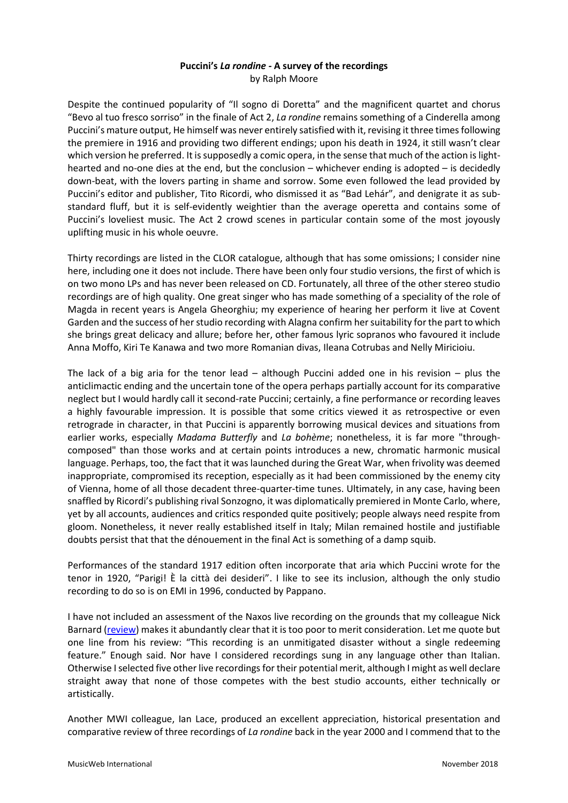## **Puccini's** *La rondine -* **A survey of the recordings** by Ralph Moore

Despite the continued popularity of "Il sogno di Doretta" and the magnificent quartet and chorus "Bevo al tuo fresco sorriso" in the finale of Act 2, *La rondine* remains something of a Cinderella among Puccini's mature output, He himself was never entirely satisfied with it, revising it three times following the premiere in 1916 and providing two different endings; upon his death in 1924, it still wasn't clear which version he preferred. It is supposedly a comic opera, in the sense that much of the action is lighthearted and no-one dies at the end, but the conclusion – whichever ending is adopted – is decidedly down-beat, with the lovers parting in shame and sorrow. Some even followed the lead provided by Puccini's editor and publisher, Tito Ricordi, who dismissed it as "Bad Lehár", and denigrate it as substandard fluff, but it is self-evidently weightier than the average operetta and contains some of Puccini's loveliest music. The Act 2 crowd scenes in particular contain some of the most joyously uplifting music in his whole oeuvre.

Thirty recordings are listed in the CLOR catalogue, although that has some omissions; I consider nine here, including one it does not include. There have been only four studio versions, the first of which is on two mono LPs and has never been released on CD. Fortunately, all three of the other stereo studio recordings are of high quality. One great singer who has made something of a speciality of the role of Magda in recent years is Angela Gheorghiu; my experience of hearing her perform it live at Covent Garden and the success of her studio recording with Alagna confirm her suitability for the part to which she brings great delicacy and allure; before her, other famous lyric sopranos who favoured it include Anna Moffo, Kiri Te Kanawa and two more Romanian divas, Ileana Cotrubas and Nelly Miricioiu.

The lack of a big aria for the tenor lead – although Puccini added one in his revision – plus the anticlimactic ending and the uncertain tone of the opera perhaps partially account for its comparative neglect but I would hardly call it second-rate Puccini; certainly, a fine performance or recording leaves a highly favourable impression. It is possible that some critics viewed it as retrospective or even retrograde in character, in that Puccini is apparently borrowing musical devices and situations from earlier works, especially Madama Butterfly and *La bohème*; nonetheless, it is far more "throughcomposed" than those works and at certain points introduces a new, chromatic harmonic musical language. Perhaps, too, the fact that it was launched during the Great War, when frivolity was deemed inappropriate, compromised its reception, especially as it had been commissioned by the enemy city of Vienna, home of all those decadent three-quarter-time tunes. Ultimately, in any case, having been snaffled by Ricordi's publishing rival Sonzogno, it was diplomatically premiered in Monte Carlo, where, yet by all accounts, audiences and critics responded quite positively; people always need respite from gloom. Nonetheless, it never really established itself in Italy; Milan remained hostile and justifiable doubts persist that that the dénouement in the final Act is something of a damp squib.

Performances of the standard 1917 edition often incorporate that aria which Puccini wrote for the tenor in 1920, "Parigi! È la città dei desideri". I like to see its inclusion, although the only studio recording to do so is on EMI in 1996, conducted by Pappano.

I have not included an assessment of the Naxos live recording on the grounds that my colleague Nick Barnard [\(review\)](http://www.musicweb-international.com/classrev/2009/Sept09/Puccini_Rondine_8660253.htm) makes it abundantly clear that it is too poor to merit consideration. Let me quote but one line from his review: "This recording is an unmitigated disaster without a single redeeming feature." Enough said. Nor have I considered recordings sung in any language other than Italian. Otherwise I selected five other live recordings for their potential merit, although I might as well declare straight away that none of those competes with the best studio accounts, either technically or artistically.

Another MWI colleague, Ian Lace, produced an excellent appreciation, historical presentation and comparative review of three recordings of *La rondine* back in the year 2000 and I commend that to the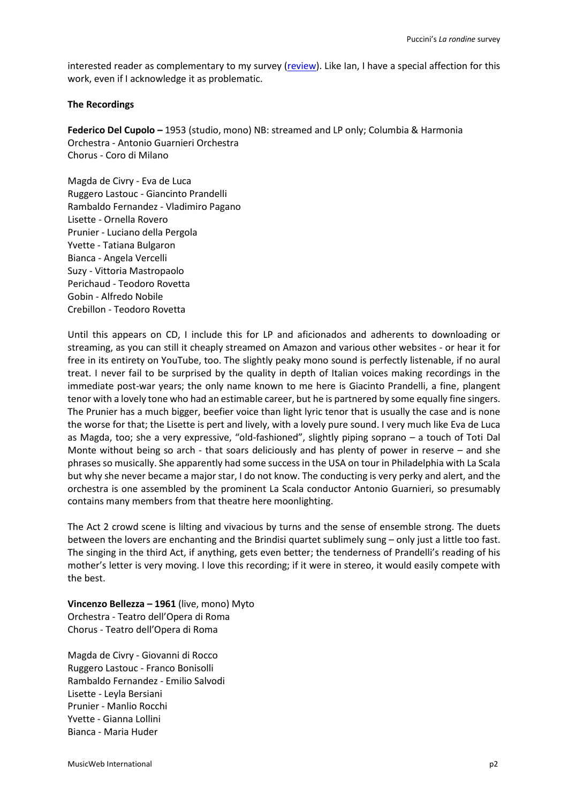interested reader as complementary to my survey [\(review\)](http://www.musicweb-international.com/classrev/2000/june00/Rondine.htm). Like Ian, I have a special affection for this work, even if I acknowledge it as problematic.

## **The Recordings**

**Federico Del Cupolo –** 1953 (studio, mono) NB: streamed and LP only; Columbia & Harmonia Orchestra - Antonio Guarnieri Orchestra Chorus - Coro di Milano

Magda de Civry - Eva de Luca Ruggero Lastouc - Giancinto Prandelli Rambaldo Fernandez - Vladimiro Pagano Lisette - Ornella Rovero Prunier - Luciano della Pergola Yvette - Tatiana Bulgaron Bianca - Angela Vercelli Suzy - Vittoria Mastropaolo Perichaud - Teodoro Rovetta Gobin - Alfredo Nobile Crebillon - Teodoro Rovetta

Until this appears on CD, I include this for LP and aficionados and adherents to downloading or streaming, as you can still it cheaply streamed on Amazon and various other websites - or hear it for free in its entirety on YouTube, too. The slightly peaky mono sound is perfectly listenable, if no aural treat. I never fail to be surprised by the quality in depth of Italian voices making recordings in the immediate post-war years; the only name known to me here is Giacinto Prandelli, a fine, plangent tenor with a lovely tone who had an estimable career, but he is partnered by some equally fine singers. The Prunier has a much bigger, beefier voice than light lyric tenor that is usually the case and is none the worse for that; the Lisette is pert and lively, with a lovely pure sound. I very much like Eva de Luca as Magda, too; she a very expressive, "old-fashioned", slightly piping soprano – a touch of Toti Dal Monte without being so arch - that soars deliciously and has plenty of power in reserve – and she phrases so musically. She apparently had some success in the USA on tour in Philadelphia with La Scala but why she never became a major star, I do not know. The conducting is very perky and alert, and the orchestra is one assembled by the prominent La Scala conductor Antonio Guarnieri, so presumably contains many members from that theatre here moonlighting.

The Act 2 crowd scene is lilting and vivacious by turns and the sense of ensemble strong. The duets between the lovers are enchanting and the Brindisi quartet sublimely sung – only just a little too fast. The singing in the third Act, if anything, gets even better; the tenderness of Prandelli's reading of his mother's letter is very moving. I love this recording; if it were in stereo, it would easily compete with the best.

**Vincenzo Bellezza – 1961** (live, mono) Myto Orchestra - Teatro dell'Opera di Roma Chorus - Teatro dell'Opera di Roma

Magda de Civry - Giovanni di Rocco Ruggero Lastouc - Franco Bonisolli Rambaldo Fernandez - Emilio Salvodi Lisette - Leyla Bersiani Prunier - Manlio Rocchi Yvette - Gianna Lollini Bianca - Maria Huder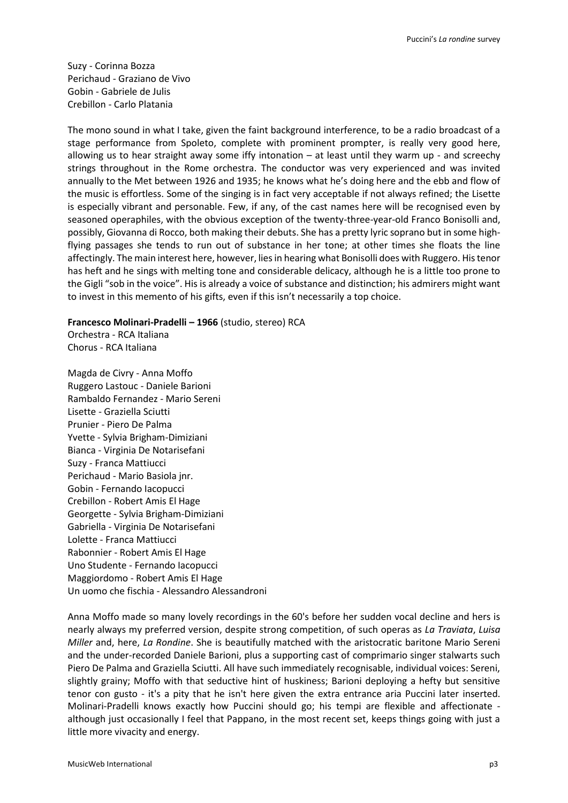Suzy - Corinna Bozza Perichaud - Graziano de Vivo Gobin - Gabriele de Julis Crebillon - Carlo Platania

The mono sound in what I take, given the faint background interference, to be a radio broadcast of a stage performance from Spoleto, complete with prominent prompter, is really very good here, allowing us to hear straight away some iffy intonation – at least until they warm up - and screechy strings throughout in the Rome orchestra. The conductor was very experienced and was invited annually to the Met between 1926 and 1935; he knows what he's doing here and the ebb and flow of the music is effortless. Some of the singing is in fact very acceptable if not always refined; the Lisette is especially vibrant and personable. Few, if any, of the cast names here will be recognised even by seasoned operaphiles, with the obvious exception of the twenty-three-year-old Franco Bonisolli and, possibly, Giovanna di Rocco, both making their debuts. She has a pretty lyric soprano but in some highflying passages she tends to run out of substance in her tone; at other times she floats the line affectingly. The main interest here, however, lies in hearing what Bonisolli does with Ruggero. His tenor has heft and he sings with melting tone and considerable delicacy, although he is a little too prone to the Gigli "sob in the voice". His is already a voice of substance and distinction; his admirers might want to invest in this memento of his gifts, even if this isn't necessarily a top choice.

**Francesco Molinari-Pradelli – 1966** (studio, stereo) RCA

Orchestra - RCA Italiana Chorus - RCA Italiana

Magda de Civry - Anna Moffo Ruggero Lastouc - Daniele Barioni Rambaldo Fernandez - Mario Sereni Lisette - Graziella Sciutti Prunier - Piero De Palma Yvette - Sylvia Brigham-Dimiziani Bianca - Virginia De Notarisefani Suzy - Franca Mattiucci Perichaud - Mario Basiola jnr. Gobin - Fernando Iacopucci Crebillon - Robert Amis El Hage Georgette - Sylvia Brigham-Dimiziani Gabriella - Virginia De Notarisefani Lolette - Franca Mattiucci Rabonnier - Robert Amis El Hage Uno Studente - Fernando Iacopucci Maggiordomo - Robert Amis El Hage Un uomo che fischia - Alessandro Alessandroni

Anna Moffo made so many lovely recordings in the 60's before her sudden vocal decline and hers is nearly always my preferred version, despite strong competition, of such operas as *La Traviata*, *Luisa Miller* and, here, *La Rondine*. She is beautifully matched with the aristocratic baritone Mario Sereni and the under-recorded Daniele Barioni, plus a supporting cast of comprimario singer stalwarts such Piero De Palma and Graziella Sciutti. All have such immediately recognisable, individual voices: Sereni, slightly grainy; Moffo with that seductive hint of huskiness; Barioni deploying a hefty but sensitive tenor con gusto - it's a pity that he isn't here given the extra entrance aria Puccini later inserted. Molinari-Pradelli knows exactly how Puccini should go; his tempi are flexible and affectionate although just occasionally I feel that Pappano, in the most recent set, keeps things going with just a little more vivacity and energy.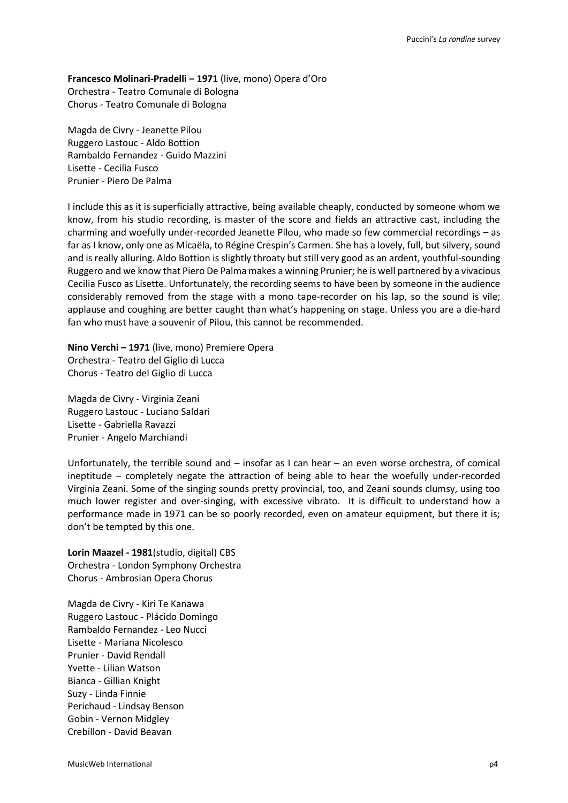**Francesco Molinari-Pradelli – 1971** (live, mono) Opera d'Oro Orchestra - Teatro Comunale di Bologna Chorus - Teatro Comunale di Bologna

Magda de Civry - Jeanette Pilou Ruggero Lastouc - Aldo Bottion Rambaldo Fernandez - Guido Mazzini Lisette - Cecilia Fusco Prunier - Piero De Palma

I include this as it is superficially attractive, being available cheaply, conducted by someone whom we know, from his studio recording, is master of the score and fields an attractive cast, including the charming and woefully under-recorded Jeanette Pilou, who made so few commercial recordings – as far as I know, only one as Micaëla, to Régine Crespin's Carmen. She has a lovely, full, but silvery, sound and is really alluring. Aldo Bottion is slightly throaty but still very good as an ardent, youthful-sounding Ruggero and we know that Piero De Palma makes a winning Prunier; he is well partnered by a vivacious Cecilia Fusco as Lisette. Unfortunately, the recording seems to have been by someone in the audience considerably removed from the stage with a mono tape-recorder on his lap, so the sound is vile; applause and coughing are better caught than what's happening on stage. Unless you are a die-hard fan who must have a souvenir of Pilou, this cannot be recommended.

**Nino Verchi – 1971** (live, mono) Premiere Opera Orchestra - Teatro del Giglio di Lucca Chorus - Teatro del Giglio di Lucca

Magda de Civry - Virginia Zeani Ruggero Lastouc - Luciano Saldari Lisette - Gabriella Ravazzi Prunier - Angelo Marchiandi

Unfortunately, the terrible sound and – insofar as I can hear – an even worse orchestra, of comical ineptitude – completely negate the attraction of being able to hear the woefully under-recorded Virginia Zeani. Some of the singing sounds pretty provincial, too, and Zeani sounds clumsy, using too much lower register and over-singing, with excessive vibrato. It is difficult to understand how a performance made in 1971 can be so poorly recorded, even on amateur equipment, but there it is; don't be tempted by this one.

**Lorin Maazel - 1981**(studio, digital) CBS Orchestra - London Symphony Orchestra Chorus - Ambrosian Opera Chorus

Magda de Civry - Kiri Te Kanawa Ruggero Lastouc - Plácido Domingo Rambaldo Fernandez - Leo Nucci Lisette - Mariana Nicolesco Prunier - David Rendall Yvette - Lilian Watson Bianca - Gillian Knight Suzy - Linda Finnie Perichaud - Lindsay Benson Gobin - Vernon Midgley Crebillon - David Beavan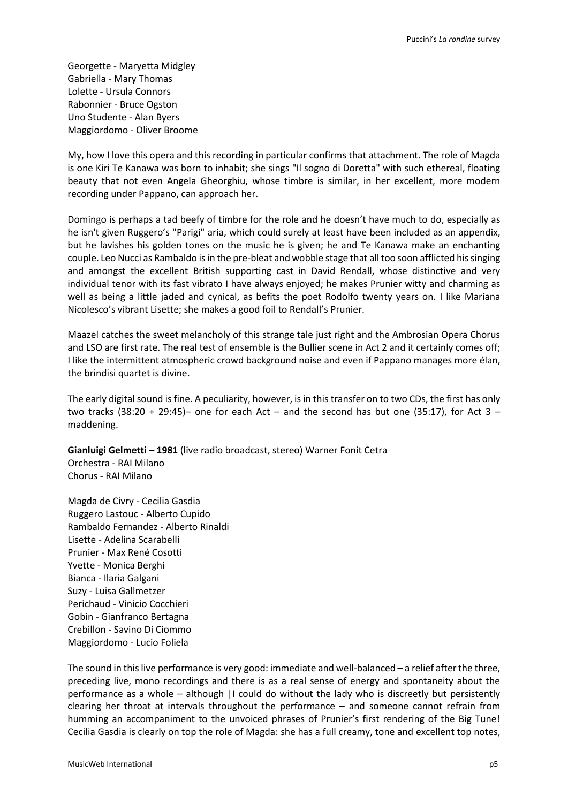Georgette - Maryetta Midgley Gabriella - Mary Thomas Lolette - Ursula Connors Rabonnier - Bruce Ogston Uno Studente - Alan Byers Maggiordomo - Oliver Broome

My, how I love this opera and this recording in particular confirms that attachment. The role of Magda is one Kiri Te Kanawa was born to inhabit; she sings "Il sogno di Doretta" with such ethereal, floating beauty that not even Angela Gheorghiu, whose timbre is similar, in her excellent, more modern recording under Pappano, can approach her.

Domingo is perhaps a tad beefy of timbre for the role and he doesn't have much to do, especially as he isn't given Ruggero's "Parigi" aria, which could surely at least have been included as an appendix, but he lavishes his golden tones on the music he is given; he and Te Kanawa make an enchanting couple. Leo Nucci as Rambaldo is in the pre-bleat and wobble stage that all too soon afflicted his singing and amongst the excellent British supporting cast in David Rendall, whose distinctive and very individual tenor with its fast vibrato I have always enjoyed; he makes Prunier witty and charming as well as being a little jaded and cynical, as befits the poet Rodolfo twenty years on. I like Mariana Nicolesco's vibrant Lisette; she makes a good foil to Rendall's Prunier.

Maazel catches the sweet melancholy of this strange tale just right and the Ambrosian Opera Chorus and LSO are first rate. The real test of ensemble is the Bullier scene in Act 2 and it certainly comes off; I like the intermittent atmospheric crowd background noise and even if Pappano manages more élan, the brindisi quartet is divine.

The early digital sound is fine. A peculiarity, however, is in this transfer on to two CDs, the first has only two tracks (38:20 + 29:45)– one for each Act – and the second has but one (35:17), for Act 3 – maddening.

**Gianluigi Gelmetti – 1981** (live radio broadcast, stereo) Warner Fonit Cetra Orchestra - RAI Milano Chorus - RAI Milano

Magda de Civry - Cecilia Gasdia Ruggero Lastouc - Alberto Cupido Rambaldo Fernandez - Alberto Rinaldi Lisette - Adelina Scarabelli Prunier - Max René Cosotti Yvette - Monica Berghi Bianca - Ilaria Galgani Suzy - Luisa Gallmetzer Perichaud - Vinicio Cocchieri Gobin - Gianfranco Bertagna Crebillon - Savino Di Ciommo Maggiordomo - Lucio Foliela

The sound in this live performance is very good: immediate and well-balanced – a relief after the three, preceding live, mono recordings and there is as a real sense of energy and spontaneity about the performance as a whole – although |I could do without the lady who is discreetly but persistently clearing her throat at intervals throughout the performance – and someone cannot refrain from humming an accompaniment to the unvoiced phrases of Prunier's first rendering of the Big Tune! Cecilia Gasdia is clearly on top the role of Magda: she has a full creamy, tone and excellent top notes,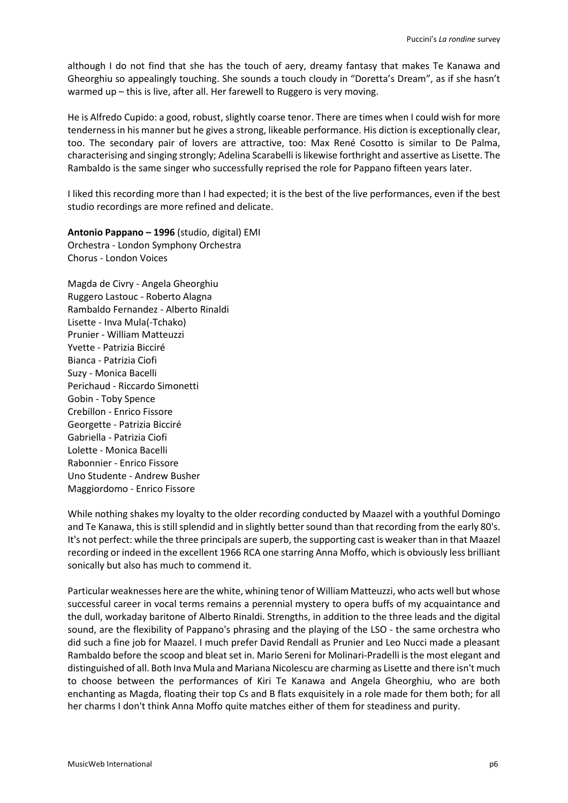although I do not find that she has the touch of aery, dreamy fantasy that makes Te Kanawa and Gheorghiu so appealingly touching. She sounds a touch cloudy in "Doretta's Dream", as if she hasn't warmed up – this is live, after all. Her farewell to Ruggero is very moving.

He is Alfredo Cupido: a good, robust, slightly coarse tenor. There are times when I could wish for more tenderness in his manner but he gives a strong, likeable performance. His diction is exceptionally clear, too. The secondary pair of lovers are attractive, too: Max René Cosotto is similar to De Palma, characterising and singing strongly; Adelina Scarabelli is likewise forthright and assertive as Lisette. The Rambaldo is the same singer who successfully reprised the role for Pappano fifteen years later.

I liked this recording more than I had expected; it is the best of the live performances, even if the best studio recordings are more refined and delicate.

**Antonio Pappano – 1996** (studio, digital) EMI Orchestra - London Symphony Orchestra Chorus - London Voices

Magda de Civry - Angela Gheorghiu Ruggero Lastouc - Roberto Alagna Rambaldo Fernandez - Alberto Rinaldi Lisette - Inva Mula(-Tchako) Prunier - William Matteuzzi Yvette - Patrizia Bicciré Bianca - Patrizia Ciofi Suzy - Monica Bacelli Perichaud - Riccardo Simonetti Gobin - Toby Spence Crebillon - Enrico Fissore Georgette - Patrizia Bicciré Gabriella - Patrizia Ciofi Lolette - Monica Bacelli Rabonnier - Enrico Fissore Uno Studente - Andrew Busher Maggiordomo - Enrico Fissore

While nothing shakes my loyalty to the older recording conducted by Maazel with a youthful Domingo and Te Kanawa, this is still splendid and in slightly better sound than that recording from the early 80's. It's not perfect: while the three principals are superb, the supporting cast is weaker than in that Maazel recording or indeed in the excellent 1966 RCA one starring Anna Moffo, which is obviously less brilliant sonically but also has much to commend it.

Particular weaknesses here are the white, whining tenor of William Matteuzzi, who acts well but whose successful career in vocal terms remains a perennial mystery to opera buffs of my acquaintance and the dull, workaday baritone of Alberto Rinaldi. Strengths, in addition to the three leads and the digital sound, are the flexibility of Pappano's phrasing and the playing of the LSO - the same orchestra who did such a fine job for Maazel. I much prefer David Rendall as Prunier and Leo Nucci made a pleasant Rambaldo before the scoop and bleat set in. Mario Sereni for Molinari-Pradelli is the most elegant and distinguished of all. Both Inva Mula and Mariana Nicolescu are charming as Lisette and there isn't much to choose between the performances of Kiri Te Kanawa and Angela Gheorghiu, who are both enchanting as Magda, floating their top Cs and B flats exquisitely in a role made for them both; for all her charms I don't think Anna Moffo quite matches either of them for steadiness and purity.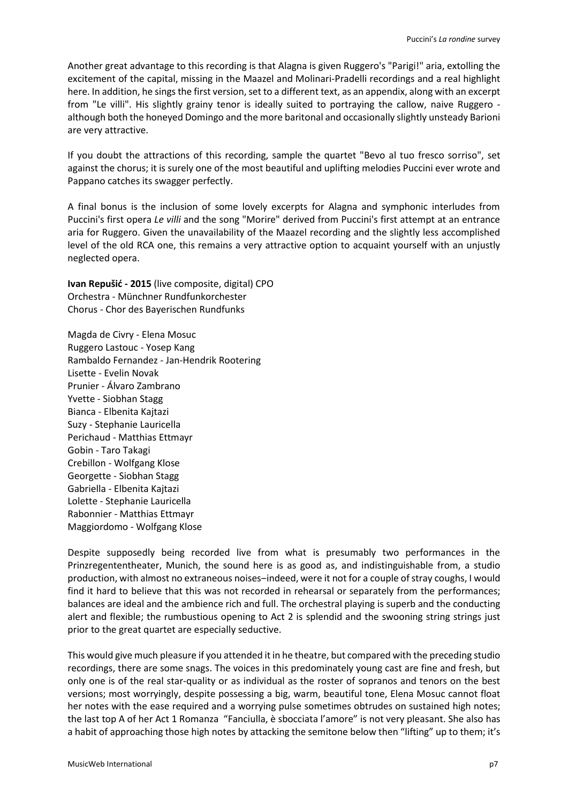Another great advantage to this recording is that Alagna is given Ruggero's "Parigi!" aria, extolling the excitement of the capital, missing in the Maazel and Molinari-Pradelli recordings and a real highlight here. In addition, he sings the first version, set to a different text, as an appendix, along with an excerpt from "Le villi". His slightly grainy tenor is ideally suited to portraying the callow, naive Ruggero although both the honeyed Domingo and the more baritonal and occasionally slightly unsteady Barioni are very attractive.

If you doubt the attractions of this recording, sample the quartet "Bevo al tuo fresco sorriso", set against the chorus; it is surely one of the most beautiful and uplifting melodies Puccini ever wrote and Pappano catches its swagger perfectly.

A final bonus is the inclusion of some lovely excerpts for Alagna and symphonic interludes from Puccini's first opera *Le villi* and the song "Morire" derived from Puccini's first attempt at an entrance aria for Ruggero. Given the unavailability of the Maazel recording and the slightly less accomplished level of the old RCA one, this remains a very attractive option to acquaint yourself with an unjustly neglected opera.

**Ivan Repušić - 2015** (live composite, digital) CPO Orchestra - Münchner Rundfunkorchester Chorus - Chor des Bayerischen Rundfunks

Magda de Civry - Elena Mosuc Ruggero Lastouc - Yosep Kang Rambaldo Fernandez - Jan-Hendrik Rootering Lisette - Evelin Novak Prunier - Álvaro Zambrano Yvette - Siobhan Stagg Bianca - Elbenita Kajtazi Suzy - Stephanie Lauricella Perichaud - Matthias Ettmayr Gobin - Taro Takagi Crebillon - Wolfgang Klose Georgette - Siobhan Stagg Gabriella - Elbenita Kajtazi Lolette - Stephanie Lauricella Rabonnier - Matthias Ettmayr Maggiordomo - Wolfgang Klose

Despite supposedly being recorded live from what is presumably two performances in the Prinzregententheater, Munich, the sound here is as good as, and indistinguishable from, a studio production, with almost no extraneous noises-indeed, were it not for a couple of stray coughs, I would find it hard to believe that this was not recorded in rehearsal or separately from the performances; balances are ideal and the ambience rich and full. The orchestral playing is superb and the conducting alert and flexible; the rumbustious opening to Act 2 is splendid and the swooning string strings just prior to the great quartet are especially seductive.

This would give much pleasure if you attended it in he theatre, but compared with the preceding studio recordings, there are some snags. The voices in this predominately young cast are fine and fresh, but only one is of the real star-quality or as individual as the roster of sopranos and tenors on the best versions; most worryingly, despite possessing a big, warm, beautiful tone, Elena Mosuc cannot float her notes with the ease required and a worrying pulse sometimes obtrudes on sustained high notes; the last top A of her Act 1 Romanza "Fanciulla, è sbocciata l'amore" is not very pleasant. She also has a habit of approaching those high notes by attacking the semitone below then "lifting" up to them; it's